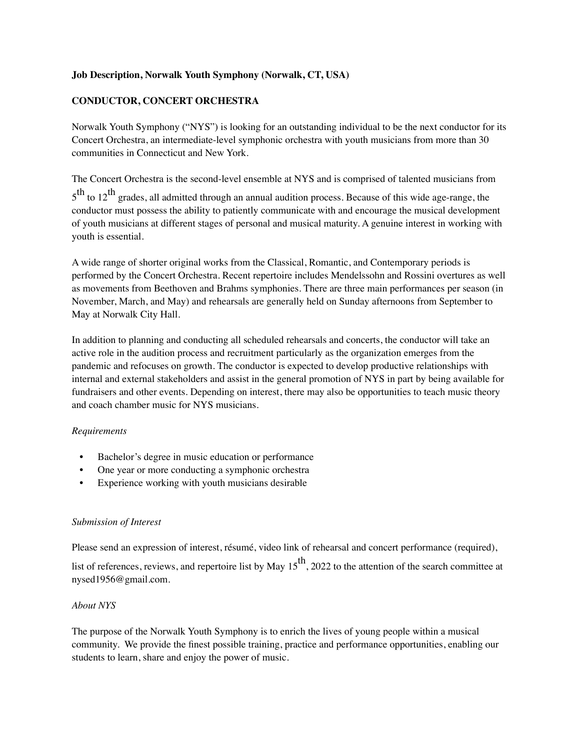# **Job Description, Norwalk Youth Symphony (Norwalk, CT, USA)**

# **CONDUCTOR, CONCERT ORCHESTRA**

Norwalk Youth Symphony ("NYS") is looking for an outstanding individual to be the next conductor for its Concert Orchestra, an intermediate-level symphonic orchestra with youth musicians from more than 30 communities in Connecticut and New York.

The Concert Orchestra is the second-level ensemble at NYS and is comprised of talented musicians from  $5^{\text{th}}$  to  $12^{\text{th}}$  grades, all admitted through an annual audition process. Because of this wide age-range, the conductor must possess the ability to patiently communicate with and encourage the musical development of youth musicians at different stages of personal and musical maturity. A genuine interest in working with youth is essential.

A wide range of shorter original works from the Classical, Romantic, and Contemporary periods is performed by the Concert Orchestra. Recent repertoire includes Mendelssohn and Rossini overtures as well as movements from Beethoven and Brahms symphonies. There are three main performances per season (in November, March, and May) and rehearsals are generally held on Sunday afternoons from September to May at Norwalk City Hall.

In addition to planning and conducting all scheduled rehearsals and concerts, the conductor will take an active role in the audition process and recruitment particularly as the organization emerges from the pandemic and refocuses on growth. The conductor is expected to develop productive relationships with internal and external stakeholders and assist in the general promotion of NYS in part by being available for fundraisers and other events. Depending on interest, there may also be opportunities to teach music theory and coach chamber music for NYS musicians.

## *Requirements*

- Bachelor's degree in music education or performance
- One year or more conducting a symphonic orchestra
- Experience working with youth musicians desirable

## *Submission of Interest*

Please send an expression of interest, résumé, video link of rehearsal and concert performance (required),

list of references, reviews, and repertoire list by May  $15<sup>th</sup>$ , 2022 to the attention of the search committee at nysed1956@gmail.com.

## *About NYS*

The purpose of the Norwalk Youth Symphony is to enrich the lives of young people within a musical community. We provide the finest possible training, practice and performance opportunities, enabling our students to learn, share and enjoy the power of music.